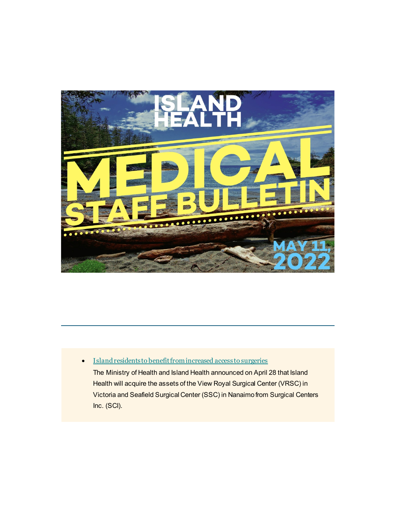

• [Island residents to benefit from increased access to surgeries](https://islandhealth.us1.list-manage.com/track/click?u=4909715d07f1276117e964235&id=3f396b2d0b&e=eb3a537498) The Ministry of Health and Island Health announced on April 28 that Island Health will acquire the assets of the View Royal Surgical Center (VRSC) in Victoria and Seafield Surgical Center (SSC) in Nanaimo from Surgical Centers Inc. (SCI).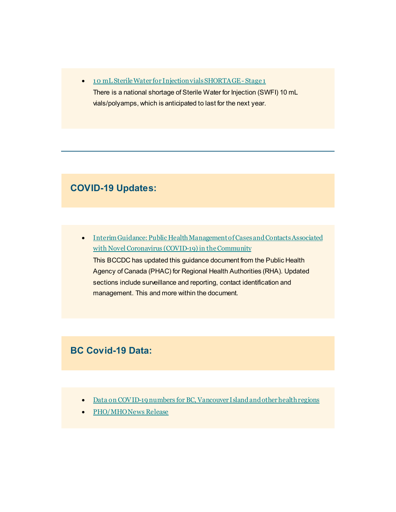• [10 mL Sterile Water for Injection vials SHORTAGE -](https://islandhealth.us1.list-manage.com/track/click?u=4909715d07f1276117e964235&id=1cea8b117c&e=eb3a537498) Stage 1 There is a national shortage of Sterile Water for Injection (SWFI) 10 mL vials/polyamps, which is anticipated to last for the next year.

#### **COVID-19 Updates:**

• [Interim Guidance: Public Health Management of Cases and Contacts Associated](https://islandhealth.us1.list-manage.com/track/click?u=4909715d07f1276117e964235&id=4d20f7a8c5&e=eb3a537498)  [with Novel Coronavirus \(COVID-19\) in the Community](https://islandhealth.us1.list-manage.com/track/click?u=4909715d07f1276117e964235&id=4d20f7a8c5&e=eb3a537498) This BCCDC has updated this guidance document from the Public Health Agency of Canada (PHAC) for Regional Health Authorities (RHA). Updated sections include surveillance and reporting, contact identification and management. This and more within the document.

# **BC Covid-19 Data:**

- [Data on COVID-19 numbers for BC, Vancouver Island and other health regions](https://islandhealth.us1.list-manage.com/track/click?u=4909715d07f1276117e964235&id=6872014ec3&e=eb3a537498)
- PHO/MHONews Release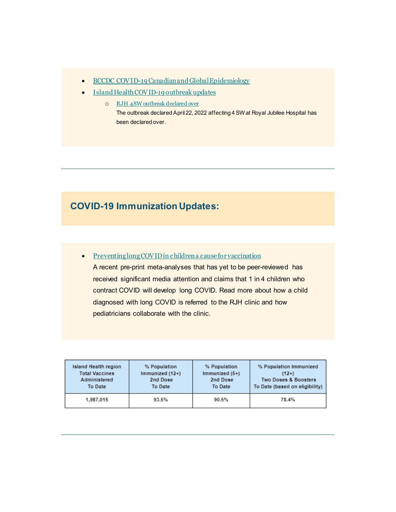- [BCCDC COVID-19 Canadian and Global Epidemiology](https://islandhealth.us1.list-manage.com/track/click?u=4909715d07f1276117e964235&id=7a0fe759c2&e=eb3a537498)
- [Island Health COVID-19 outbreak updates](https://islandhealth.us1.list-manage.com/track/click?u=4909715d07f1276117e964235&id=5835aac312&e=eb3a537498)
	- o [RJH 4SW outbreak declared over](https://islandhealth.us1.list-manage.com/track/click?u=4909715d07f1276117e964235&id=0d87a84e4e&e=eb3a537498) The outbreak declared April 22, 2022 affecting 4 SW at Royal Jubilee Hospital has been declared over.

## **COVID-19 Immunization Updates:**

• [Preventing long COVID in children a cause for vaccination](https://islandhealth.us1.list-manage.com/track/click?u=4909715d07f1276117e964235&id=dc5b03198d&e=eb3a537498)

A recent pre-print meta-analyses that has yet to be peer-reviewed has received significant media attention and claims that 1 in 4 children who contract COVID will develop long COVID. Read more about how a child diagnosed with long COVID is referred to the RJH clinic and how pediatricians collaborate with the clinic.

| Island Health region  | % Population    | % Population     | % Population Immunized         |
|-----------------------|-----------------|------------------|--------------------------------|
| <b>Total Vaccines</b> | Immunized (12+) | Immunized $(5+)$ | $(12+)$                        |
| Administered          | 2nd Dose        | 2nd Dose         | Two Doses & Boosters           |
| To Date               | To Date         | To Date          | To Date (based on eligibility) |
| 1.987.015             | 93.5%           | 90.5%            | 78.4%                          |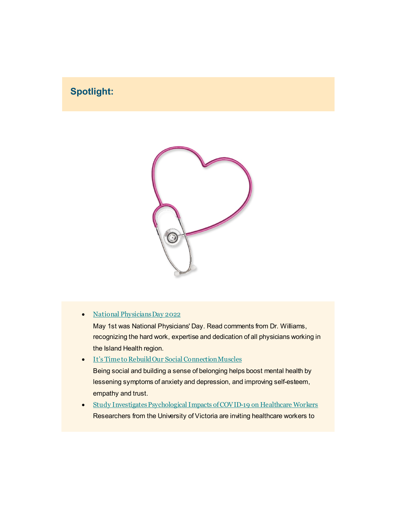# **Spotlight:**



• [National Physicians Day 2022](https://islandhealth.us1.list-manage.com/track/click?u=4909715d07f1276117e964235&id=daff16d611&e=eb3a537498)

May 1st was National Physicians' Day. Read comments from Dr. Williams, recognizing the hard work, expertise and dedication of all physicians working in the Island Health region.

- It's Time [to Rebuild Our Social Connection Muscles](https://islandhealth.us1.list-manage.com/track/click?u=4909715d07f1276117e964235&id=9d2f596b21&e=eb3a537498) Being social and building a sense of belonging helps boost mental health by lessening symptoms of anxiety and depression, and improving self-esteem, empathy and trust.
- [Study Investigates Psychological Impacts of COVID-19 on Healthcare Workers](https://islandhealth.us1.list-manage.com/track/click?u=4909715d07f1276117e964235&id=c2841cf772&e=eb3a537498) Researchers from the University of Victoria are inviting healthcare workers to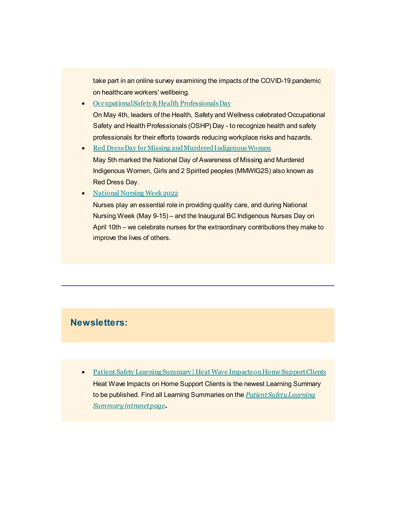take part in an online survey examining the impacts of the COVID-19 pandemic on healthcare workers' wellbeing.

- [Occupational Safety & Health Professionals Day](https://islandhealth.us1.list-manage.com/track/click?u=4909715d07f1276117e964235&id=d701f67775&e=eb3a537498) On May 4th, leaders of the Health, Safety and Wellness celebrated Occupational Safety and Health Professionals (OSHP) Day - to recognize health and safety professionals for their efforts towards reducing workplace risks and hazards.
- [Red Dress Day for Missing and Murdered Indigenous Women](https://islandhealth.us1.list-manage.com/track/click?u=4909715d07f1276117e964235&id=98e7c9979d&e=eb3a537498) May 5th marked the National Day of Awareness of Missing and Murdered Indigenous Women, Girls and 2 Spirited peoples (MMWIG2S) also known as Red Dress Day.
- [National Nursing Week 2022](https://islandhealth.us1.list-manage.com/track/click?u=4909715d07f1276117e964235&id=0d212ecf9a&e=eb3a537498)

Nurses play an essential role in providing quality care, and during National Nursing Week (May 9-15) – and the Inaugural BC Indigenous Nurses Day on April 10th – we celebrate nurses for the extraordinary contributions they make to improve the lives of others.

#### **Newsletters:**

• [Patient Safety Learning Summary | Heat Wave Impacts on Home Support Clients](https://islandhealth.us1.list-manage.com/track/click?u=4909715d07f1276117e964235&id=28191e8964&e=eb3a537498) Heat Wave Impacts on Home Support Clients is the newest Learning Summary to be published. Find all Learning Summaries on the *[Patient Safety Learning](https://islandhealth.us1.list-manage.com/track/click?u=4909715d07f1276117e964235&id=9096d6c586&e=eb3a537498)  [Summary intranet page](https://islandhealth.us1.list-manage.com/track/click?u=4909715d07f1276117e964235&id=9096d6c586&e=eb3a537498)***.**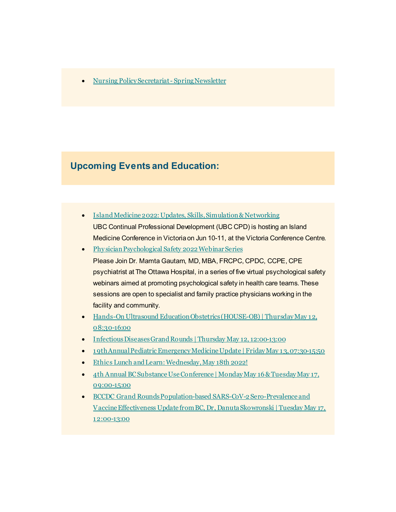• [Nursing Policy Secretariat -](https://islandhealth.us1.list-manage.com/track/click?u=4909715d07f1276117e964235&id=a63e8c7b34&e=eb3a537498) Spring Newsletter

### **Upcoming Events and Education:**

- [Island Medicine 2022: Updates, Skills, Simulation & Networking](https://islandhealth.us1.list-manage.com/track/click?u=4909715d07f1276117e964235&id=5a34c4ecf4&e=eb3a537498) UBC Continual Professional Development (UBC CPD) is hosting an Island Medicine Conference in Victoria on Jun 10-11, at the Victoria Conference Centre.
- [Phy sician Psychological Safety 2022 Webinar Series](https://islandhealth.us1.list-manage.com/track/click?u=4909715d07f1276117e964235&id=0394aeecde&e=eb3a537498) Please Join Dr. Mamta Gautam, MD, MBA, FRCPC, CPDC, CCPE, CPE psychiatrist at The Ottawa Hospital, in a series of five virtual psychological safety webinars aimed at promoting psychological safety in health care teams. These sessions are open to specialist and family practice physicians working in the facility and community.
- [Hands-On Ultrasound Education Obstetrics \(HOUSE-OB\) | Thursday May 12,](https://islandhealth.us1.list-manage.com/track/click?u=4909715d07f1276117e964235&id=f5507f74e1&e=eb3a537498)  [08:30-16:00](https://islandhealth.us1.list-manage.com/track/click?u=4909715d07f1276117e964235&id=f5507f74e1&e=eb3a537498)
- [Infectious Diseases Grand Rounds | Thursday May 12, 12:00-13:00](https://islandhealth.us1.list-manage.com/track/click?u=4909715d07f1276117e964235&id=4e36b39965&e=eb3a537498)
- [19th Annual Pediatric Emergency Medicine Update | Friday May 13, 07:30-15:50](https://islandhealth.us1.list-manage.com/track/click?u=4909715d07f1276117e964235&id=c3a1458a3b&e=eb3a537498)
- [Ethics Lunch and Learn: Wednesday, May 18th 2022!](https://islandhealth.us1.list-manage.com/track/click?u=4909715d07f1276117e964235&id=0a037b15fa&e=eb3a537498)
- [4th Annual BC Substance Use Conference | Monday May 16 & Tuesday May 17,](https://islandhealth.us1.list-manage.com/track/click?u=4909715d07f1276117e964235&id=0764034328&e=eb3a537498)  [09:00-15:00](https://islandhealth.us1.list-manage.com/track/click?u=4909715d07f1276117e964235&id=0764034328&e=eb3a537498)
- BCCDC [Grand Rounds Population-based SARS-CoV-2 Sero-Prevalence and](https://islandhealth.us1.list-manage.com/track/click?u=4909715d07f1276117e964235&id=cce44ff6cd&e=eb3a537498)  [Vaccine Effectiveness Update from BC, Dr, Danuta Skowronski | Tuesday May 17,](https://islandhealth.us1.list-manage.com/track/click?u=4909715d07f1276117e964235&id=cce44ff6cd&e=eb3a537498)  [12:00-13:00](https://islandhealth.us1.list-manage.com/track/click?u=4909715d07f1276117e964235&id=cce44ff6cd&e=eb3a537498)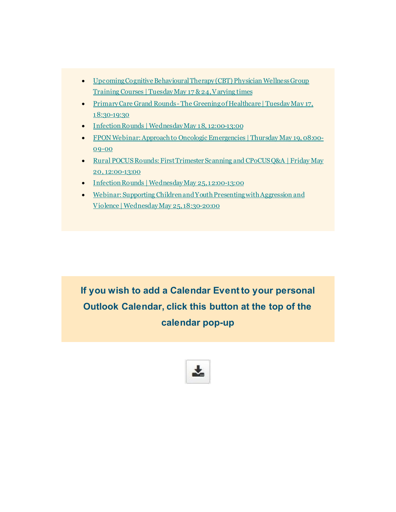- [Upcoming Cognitive Behavioural Therapy \(CBT\) Physician Wellness Group](https://islandhealth.us1.list-manage.com/track/click?u=4909715d07f1276117e964235&id=c975e53660&e=eb3a537498)  [Training Courses | Tuesday May 17 & 24, Varying times](https://islandhealth.us1.list-manage.com/track/click?u=4909715d07f1276117e964235&id=c975e53660&e=eb3a537498)
- Primary Care Grand Rounds The Greening of Healthcare | Tuesday May 17, [18:30-19:30](https://islandhealth.us1.list-manage.com/track/click?u=4909715d07f1276117e964235&id=f2d62239c3&e=eb3a537498)
- [Infection Rounds | Wednesday May 18, 12:00-13:00](https://islandhealth.us1.list-manage.com/track/click?u=4909715d07f1276117e964235&id=23a3fe5242&e=eb3a537498)
- [FPON Webinar: Approach to Oncologic Emergencies | Thursday May 19, 08:00-](https://islandhealth.us1.list-manage.com/track/click?u=4909715d07f1276117e964235&id=a695757c35&e=eb3a537498) [09-00](https://islandhealth.us1.list-manage.com/track/click?u=4909715d07f1276117e964235&id=a695757c35&e=eb3a537498)
- Rural POCUS Rounds: First Trimester Scanning and CPoCUS Q&A | Friday May [20, 12:00-13:00](https://islandhealth.us1.list-manage.com/track/click?u=4909715d07f1276117e964235&id=a0715089e4&e=eb3a537498)
- [Infection Rounds | Wednesday May 25, 12:00-13:00](https://islandhealth.us1.list-manage.com/track/click?u=4909715d07f1276117e964235&id=0eb35b8eda&e=eb3a537498)
- [Webinar: Supporting Children and Youth Presenting with Aggression and](https://islandhealth.us1.list-manage.com/track/click?u=4909715d07f1276117e964235&id=533f6151d8&e=eb3a537498)  [Violence | Wednesday May 25, 18:30-20:00](https://islandhealth.us1.list-manage.com/track/click?u=4909715d07f1276117e964235&id=533f6151d8&e=eb3a537498)

**If you wish to add a Calendar Event to your personal Outlook Calendar, click this button at the top of the calendar pop-up**

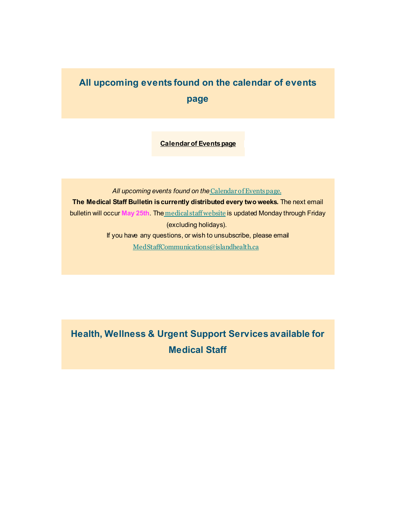# **All upcoming events found on the calendar of events page**

**[Calendar of Events page](https://islandhealth.us1.list-manage.com/track/click?u=4909715d07f1276117e964235&id=03fa9d442e&e=eb3a537498)**

*All upcoming events found on the*[Calendar of Events page.](https://islandhealth.us1.list-manage.com/track/click?u=4909715d07f1276117e964235&id=9c6a927e66&e=eb3a537498) **The Medical Staff Bulletin is currently distributed every two weeks.** The next email bulletin will occur **May 25th**. The[medical staff website](https://islandhealth.us1.list-manage.com/track/click?u=4909715d07f1276117e964235&id=e05a128e94&e=eb3a537498) is updated Monday through Friday (excluding holidays). If you have any questions, or wish to unsubscribe, please email [MedStaffCommunications@islandhealth.ca](mailto:MedStaffEngagement@viha.ca)

**Health, Wellness & Urgent Support Services available for Medical Staff**